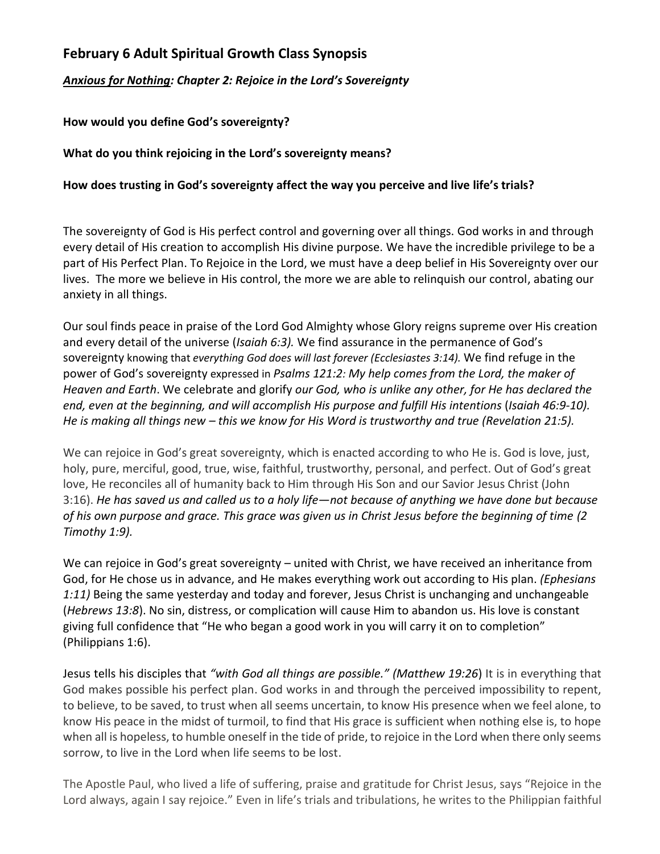## **February 6 Adult Spiritual Growth Class Synopsis**

*Anxious for Nothing: Chapter 2: Rejoice in the Lord's Sovereignty*

**How would you define God's sovereignty?**

**What do you think rejoicing in the Lord's sovereignty means?**

## **How does trusting in God's sovereignty affect the way you perceive and live life's trials?**

The sovereignty of God is His perfect control and governing over all things. God works in and through every detail of His creation to accomplish His divine purpose. We have the incredible privilege to be a part of His Perfect Plan. To Rejoice in the Lord, we must have a deep belief in His Sovereignty over our lives. The more we believe in His control, the more we are able to relinquish our control, abating our anxiety in all things.

Our soul finds peace in praise of the Lord God Almighty whose Glory reigns supreme over His creation and every detail of the universe (*Isaiah 6:3).* We find assurance in the permanence of God's sovereignty knowing that *everything God does will last forever (Ecclesiastes 3:14).* We find refuge in the power of God's sovereignty expressed in *Psalms 121:2: My help comes from the Lord, the maker of Heaven and Earth*. We celebrate and glorify *our God, who is unlike any other, for He has declared the end, even at the beginning, and will accomplish His purpose and fulfill His intentions* (*Isaiah 46:9-10). He is making all things new – this we know for His Word is trustworthy and true (Revelation 21:5).*

We can rejoice in God's great sovereignty, which is enacted according to who He is. God is love, just, holy, pure, merciful, good, true, wise, faithful, trustworthy, personal, and perfect. Out of God's great love, He reconciles all of humanity back to Him through His Son and our Savior Jesus Christ (John 3:16). *He has saved us and called us to a holy life—not because of anything we have done but because of his own purpose and grace. This grace was given us in Christ Jesus before the beginning of time (2 Timothy 1:9).*

We can rejoice in God's great sovereignty – united with Christ, we have received an inheritance from God, for He chose us in advance, and He makes everything work out according to His plan. *(Ephesians 1:11)* Being the same yesterday and today and forever, Jesus Christ is unchanging and unchangeable (*Hebrews 13:8*). No sin, distress, or complication will cause Him to abandon us. His love is constant giving full confidence that "He who began a good work in you will carry it on to completion" (Philippians 1:6).

Jesus tells his disciples that *"with God all things are possible." (Matthew 19:26*) It is in everything that God makes possible his perfect plan. God works in and through the perceived impossibility to repent, to believe, to be saved, to trust when all seems uncertain, to know His presence when we feel alone, to know His peace in the midst of turmoil, to find that His grace is sufficient when nothing else is, to hope when all is hopeless, to humble oneself in the tide of pride, to rejoice in the Lord when there only seems sorrow, to live in the Lord when life seems to be lost.

The Apostle Paul, who lived a life of suffering, praise and gratitude for Christ Jesus, says "Rejoice in the Lord always, again I say rejoice." Even in life's trials and tribulations, he writes to the Philippian faithful